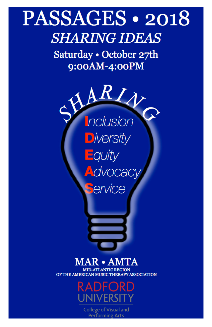# PASSAGES • 2018 **SHARING IDEAS**

Saturday · October 27th 9:00AM-4:00PM



### MAR · AMTA

**ATLANTIC REGION** OF THE AMERICAN MUSIC THERAPY ASSOCIATION



**College of Visual and Performing Arts**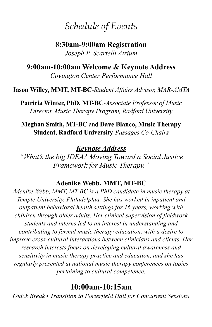### *Schedule of Events*

**8:30am-9:00am Registration** *Joseph P. Scartelli Atrium* 

**9:00am-10:00am Welcome & Keynote Address**  *Covington Center Performance Hall*

**Jason Willey, MMT, MT-BC**-*Student Affairs Advisor, MAR-AMTA* 

**Patricia Winter, PhD, MT-BC***-Associate Professor of Music Director, Music Therapy Program, Radford University*

**Meghan Smith, MT-BC** and **Dave Blanco, Music Therapy Student, Radford University**-*Passages Co-Chairs*

*Keynote Address*

*"What's the big IDEA? Moving Toward a Social Justice Framework for Music Therapy."*

#### **Adenike Webb, MMT, MT-BC**

*Adenike Webb, MMT, MT-BC is a PhD candidate in music therapy at Temple University, Philadelphia. She has worked in inpatient and outpatient behavioral health settings for 16 years, working with children through older adults. Her clinical supervision of fieldwork students and interns led to an interest in understanding and contributing to formal music therapy education, with a desire to improve cross-cultural interactions between clinicians and clients. Her research interests focus on developing cultural awareness and sensitivity in music therapy practice and education, and she has regularly presented at national music therapy conferences on topics pertaining to cultural competence.*

#### **10:00am-10:15am**

*Quick Break* • *Transition to Porterfield Hall for Concurrent Sessions*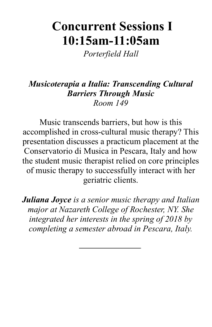## **Concurrent Sessions I 10:15am-11:05am**

*Porterfield Hall*

### *Musicoterapia a Italia: Transcending Cultural Barriers Through Music Room 149*

Music transcends barriers, but how is this accomplished in cross-cultural music therapy? This presentation discusses a practicum placement at the Conservatorio di Musica in Pescara, Italy and how the student music therapist relied on core principles of music therapy to successfully interact with her geriatric clients.

*Juliana Joyce is a senior music therapy and Italian major at Nazareth College of Rochester, NY. She integrated her interests in the spring of 2018 by completing a semester abroad in Pescara, Italy.*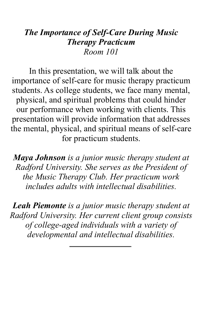### *The Importance of Self-Care During Music Therapy Practicum Room 101*

In this presentation, we will talk about the importance of self-care for music therapy practicum students. As college students, we face many mental, physical, and spiritual problems that could hinder our performance when working with clients. This presentation will provide information that addresses the mental, physical, and spiritual means of self-care for practicum students.

*Maya Johnson is a junior music therapy student at Radford University. She serves as the President of the Music Therapy Club. Her practicum work includes adults with intellectual disabilities.*

*Leah Piemonte is a junior music therapy student at Radford University. Her current client group consists of college-aged individuals with a variety of developmental and intellectual disabilities.*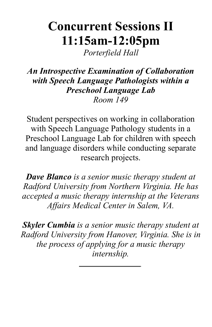## **Concurrent Sessions II 11:15am-12:05pm**

*Porterfield Hall*

### *An Introspective Examination of Collaboration with Speech Language Pathologists within a Preschool Language Lab Room 149*

Student perspectives on working in collaboration with Speech Language Pathology students in a Preschool Language Lab for children with speech and language disorders while conducting separate research projects.

*Dave Blanco is a senior music therapy student at Radford University from Northern Virginia. He has accepted a music therapy internship at the Veterans Affairs Medical Center in Salem, VA.*

*Skyler Cumbia is a senior music therapy student at Radford University from Hanover, Virginia. She is in the process of applying for a music therapy internship.*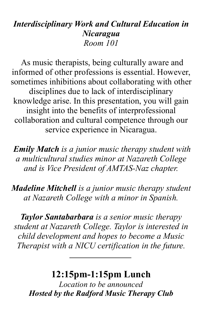### *Interdisciplinary Work and Cultural Education in Nicaragua Room 101*

As music therapists, being culturally aware and informed of other professions is essential. However, sometimes inhibitions about collaborating with other disciplines due to lack of interdisciplinary knowledge arise. In this presentation, you will gain insight into the benefits of interprofessional collaboration and cultural competence through our service experience in Nicaragua.

*Emily Match is a junior music therapy student with a multicultural studies minor at Nazareth College and is Vice President of AMTAS-Naz chapter.* 

*Madeline Mitchell is a junior music therapy student at Nazareth College with a minor in Spanish.* 

*Taylor Santabarbara is a senior music therapy student at Nazareth College. Taylor is interested in child development and hopes to become a Music Therapist with a NICU certification in the future.*

### **12:15pm-1:15pm Lunch**

*Location to be announced Hosted by the Radford Music Therapy Club*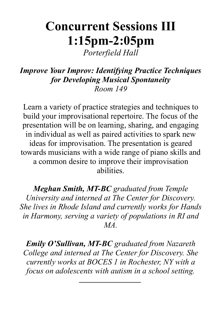## **Concurrent Sessions III 1:15pm-2:05pm**

*Porterfield Hall*

#### *Improve Your Improv: Identifying Practice Techniques for Developing Musical Spontaneity Room 149*

Learn a variety of practice strategies and techniques to build your improvisational repertoire. The focus of the presentation will be on learning, sharing, and engaging in individual as well as paired activities to spark new ideas for improvisation. The presentation is geared towards musicians with a wide range of piano skills and a common desire to improve their improvisation abilities.

*Meghan Smith, MT-BC graduated from Temple University and interned at The Center for Discovery. She lives in Rhode Island and currently works for Hands in Harmony, serving a variety of populations in RI and MA.* 

*Emily O'Sullivan, MT-BC graduated from Nazareth College and interned at The Center for Discovery. She currently works at BOCES 1 in Rochester, NY with a focus on adolescents with autism in a school setting.*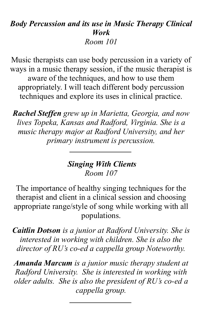### *Body Percussion and its use in Music Therapy Clinical Work Room 101*

Music therapists can use body percussion in a variety of ways in a music therapy session, if the music therapist is aware of the techniques, and how to use them appropriately. I will teach different body percussion techniques and explore its uses in clinical practice.

*Rachel Steffen grew up in Marietta, Georgia, and now lives Topeka, Kansas and Radford, Virginia. She is a music therapy major at Radford University, and her primary instrument is percussion.* 

#### *Singing With Clients Room 107*

The importance of healthy singing techniques for the therapist and client in a clinical session and choosing appropriate range/style of song while working with all populations.

*Caitlin Dotson is a junior at Radford University. She is interested in working with children. She is also the director of RU's co-ed a cappella group Noteworthy.*

*Amanda Marcum is a junior music therapy student at Radford University. She is interested in working with older adults. She is also the president of RU's co-ed a cappella group.*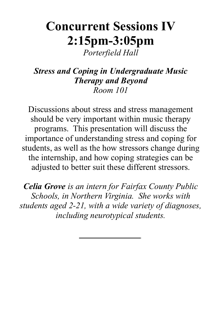## **Concurrent Sessions IV 2:15pm-3:05pm**

*Porterfield Hall*

*Stress and Coping in Undergraduate Music Therapy and Beyond Room 101*

Discussions about stress and stress management should be very important within music therapy programs. This presentation will discuss the importance of understanding stress and coping for students, as well as the how stressors change during the internship, and how coping strategies can be adjusted to better suit these different stressors.

*Celia Grove is an intern for Fairfax County Public Schools, in Northern Virginia. She works with students aged 2-21, with a wide variety of diagnoses, including neurotypical students.*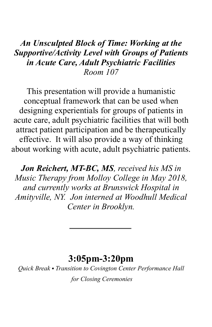### *An Unsculpted Block of Time: Working at the Supportive/Activity Level with Groups of Patients in Acute Care, Adult Psychiatric Facilities Room 107*

This presentation will provide a humanistic conceptual framework that can be used when designing experientials for groups of patients in acute care, adult psychiatric facilities that will both attract patient participation and be therapeutically effective. It will also provide a way of thinking about working with acute, adult psychiatric patients.

*Jon Reichert, MT-BC, MS, received his MS in Music Therapy from Molloy College in May 2018, and currently works at Brunswick Hospital in Amityville, NY. Jon interned at Woodhull Medical Center in Brooklyn.*

### **3:05pm-3:20pm**

*Quick Break* • *Transition to Covington Center Performance Hall for Closing Ceremonies*